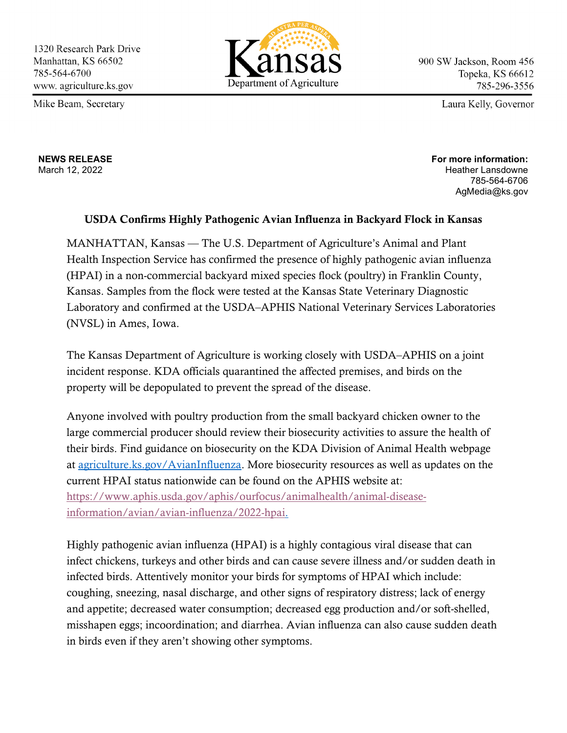Mike Beam, Secretary



900 SW Jackson, Room 456 Topeka, KS 66612 785-296-3556

Laura Kelly, Governor

**NEWS RELEASE** March 12, 2022

**For more information:** Heather Lansdowne 785-564-6706 AgMedia@ks.gov

## USDA Confirms Highly Pathogenic Avian Influenza in Backyard Flock in Kansas

MANHATTAN, Kansas — The U.S. Department of Agriculture's Animal and Plant Health Inspection Service has confirmed the presence of highly pathogenic avian influenza (HPAI) in a non-commercial backyard mixed species flock (poultry) in Franklin County, Kansas. Samples from the flock were tested at the Kansas State Veterinary Diagnostic Laboratory and confirmed at the USDA–APHIS National Veterinary Services Laboratories (NVSL) in Ames, Iowa.

The Kansas Department of Agriculture is working closely with USDA–APHIS on a joint incident response. KDA officials quarantined the affected premises, and birds on the property will be depopulated to prevent the spread of the disease.

Anyone involved with poultry production from the small backyard chicken owner to the large commercial producer should review their biosecurity activities to assure the health of their birds. Find guidance on biosecurity on the KDA Division of Animal Health webpage at [agriculture.ks.gov/AvianInfluenza.](http://www.agriculture.ks.gov/AvianInfluenza) More biosecurity resources as well as updates on the current HPAI status nationwide can be found on the APHIS website at: [https://www.aphis.usda.gov/aphis/ourfocus/animalhealth/animal-disease](https://www.aphis.usda.gov/aphis/ourfocus/animalhealth/animal-disease-information/avian/avian-influenza/2022-hpai)[information/avian/avian-influenza/2022-hpai.](https://www.aphis.usda.gov/aphis/ourfocus/animalhealth/animal-disease-information/avian/avian-influenza/2022-hpai)

Highly pathogenic avian influenza (HPAI) is a highly contagious viral disease that can infect chickens, turkeys and other birds and can cause severe illness and/or sudden death in infected birds. Attentively monitor your birds for symptoms of HPAI which include: coughing, sneezing, nasal discharge, and other signs of respiratory distress; lack of energy and appetite; decreased water consumption; decreased egg production and/or soft-shelled, misshapen eggs; incoordination; and diarrhea. Avian influenza can also cause sudden death in birds even if they aren't showing other symptoms.